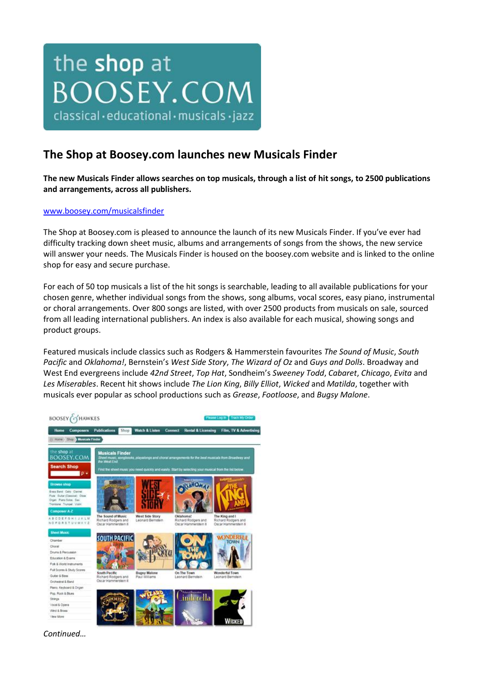## the shop at **BOOSEY.COM** classical·educational·musicals·jazz

## **The Shop at Boosey.com launches new Musicals Finder**

**The new Musicals Finder allows searches on top musicals, through a list of hit songs, to 2500 publications and arrangements, across all publishers.**

## [www.boosey.com/musicalsfinder](http://www.boosey.com/musicalsfinder)

The Shop at Boosey.com is pleased to announce the launch of its new Musicals Finder. If you've ever had difficulty tracking down sheet music, albums and arrangements of songs from the shows, the new service will answer your needs. The Musicals Finder is housed on the boosey.com website and is linked to the online shop for easy and secure purchase.

For each of 50 top musicals a list of the hit songs is searchable, leading to all available publications for your chosen genre, whether individual songs from the shows, song albums, vocal scores, easy piano, instrumental or choral arrangements. Over 800 songs are listed, with over 2500 products from musicals on sale, sourced from all leading international publishers. An index is also available for each musical, showing songs and product groups.

Featured musicals include classics such as Rodgers & Hammerstein favourites *The Sound of Music*, *South Pacific* and *Oklahoma!*, Bernstein's *West Side Story*, *The Wizard of Oz* and *Guys and Dolls*. Broadway and West End evergreens include *42nd Street*, *Top Hat*, Sondheim's *Sweeney Todd*, *Cabaret*, *Chicago*, *Evita* and *Les Miserables*. Recent hit shows include *The Lion King*, *Billy Elliot*, *Wicked* and *Matilda*, together with musicals ever popular as school productions such as *Grease*, *Footloose*, and *Bugsy Malone*.



*Continued…*